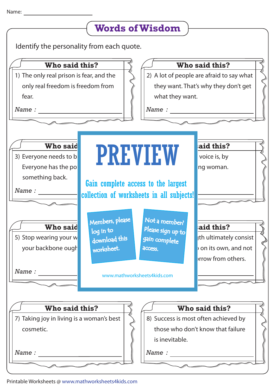